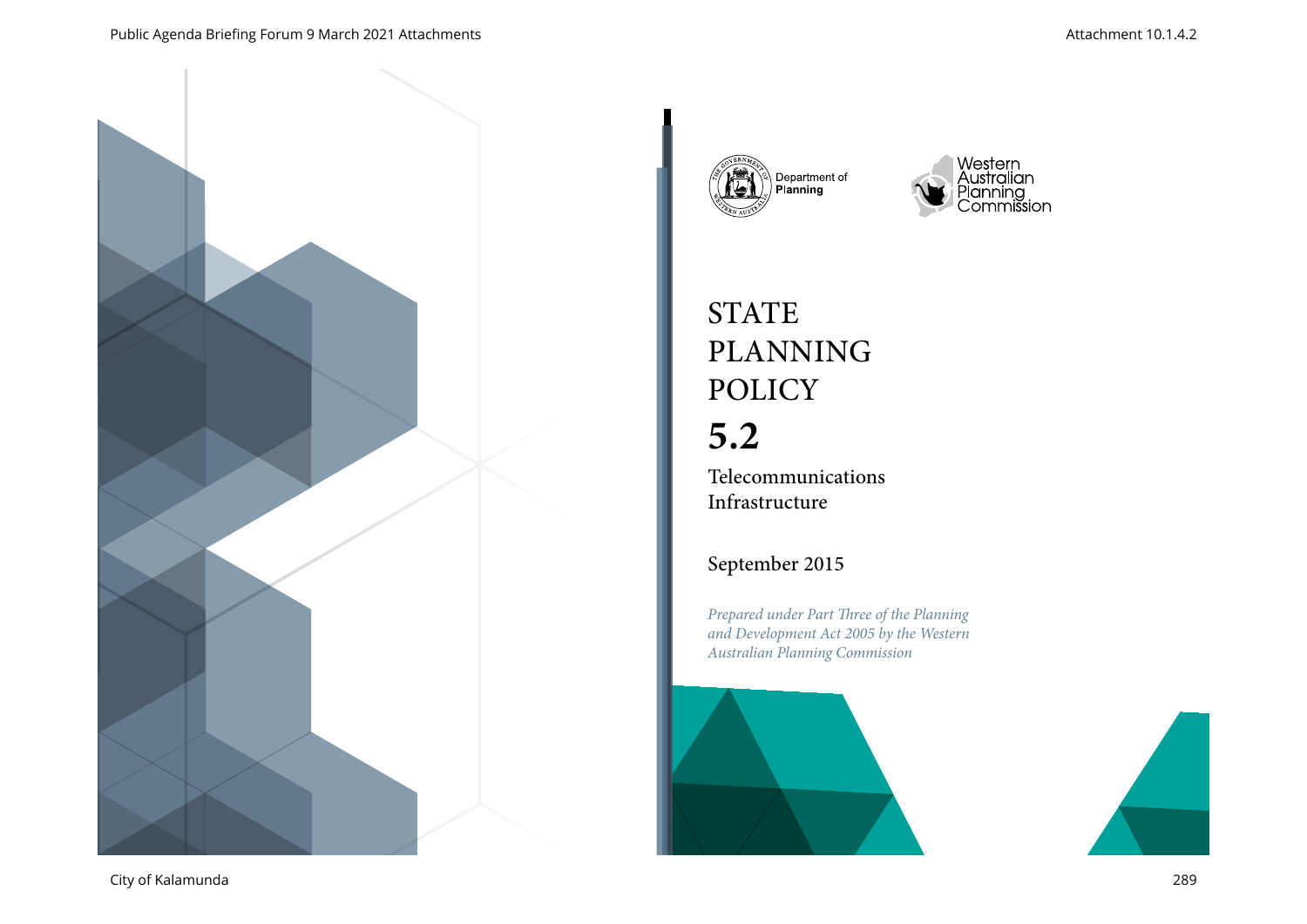







# **STATE** PLANNING POLICY

# **5.2**

Telecommunications Infrastructure

## September 2015

*Prepared under Part Three of the Planning and Development Act 2005 by the Western Australian Planning Commission*



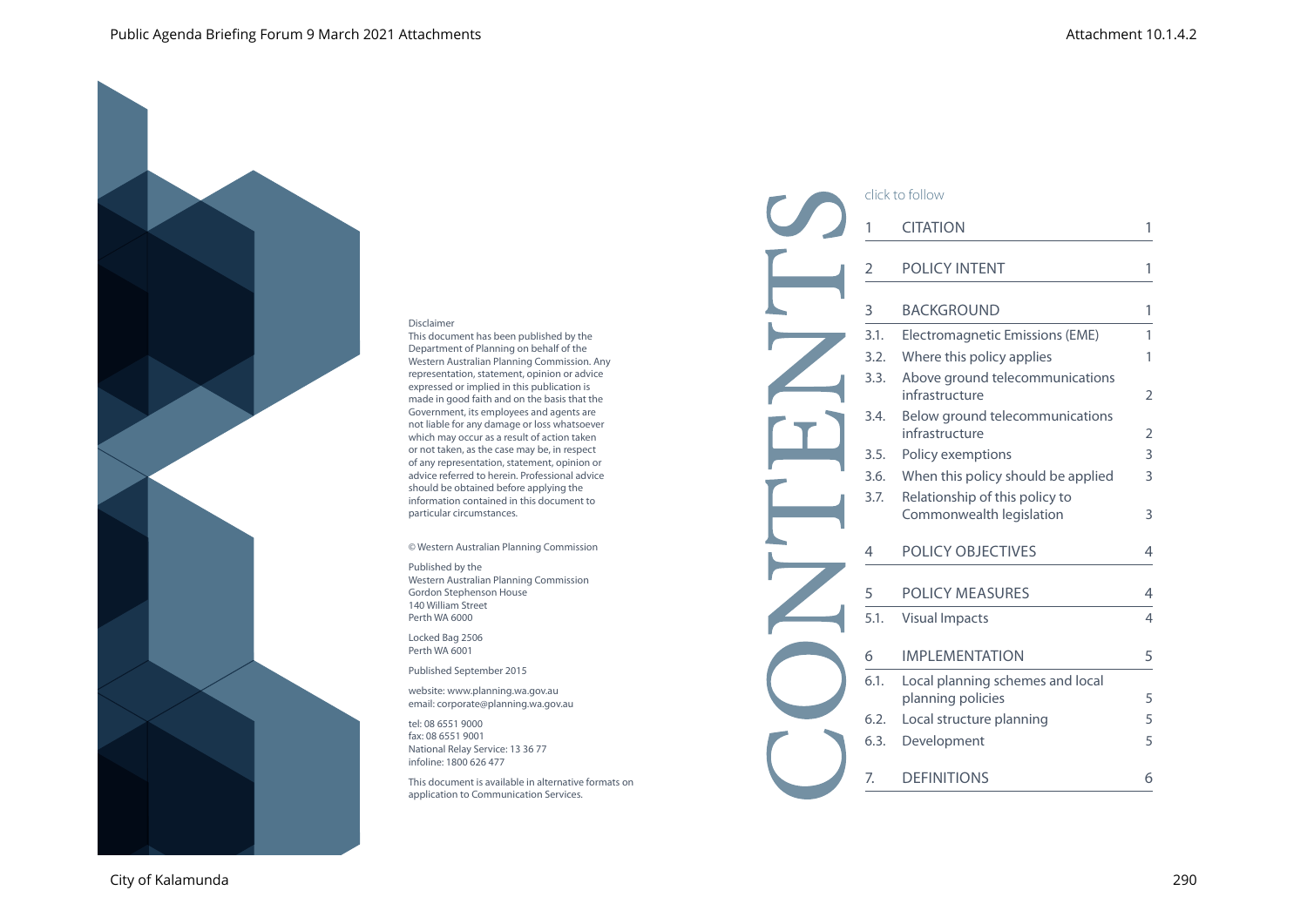#### Disclaimer

This document has been published by the Department of Planning on behalf of the Western Australian Planning Commission. Any representation, statement, opinion or advice expressed or implied in this publication is made in good faith and on the basis that the Government, its employees and agents are not liable for any damage or loss whatsoever which may occur as a result of action taken or not taken, as the case may be, in respect of any representation, statement, opinion or advice referred to herein. Professional advice should be obtained before applying the information contained in this document to particular circumstances.

© Western Australian Planning Commission

#### Published by the Western Australian Planning Commission Gordon Stephenson House 140 William Street Perth WA 6000

Locked Bag 2506 Perth WA 6001

Published September 2015

website: www.planning.wa.gov.au email: corporate@planning.wa.gov.au

tel: 08 6551 9000 fax: 08 6551 9001 National Relay Service: 13 36 77 infoline: 1800 626 477

This document is available in alternative formats on application to Communication Services.

| click to follow |                                                            |                |  |
|-----------------|------------------------------------------------------------|----------------|--|
| 1               | <b>CITATION</b>                                            |                |  |
| 2               | <b>POLICY INTENT</b>                                       | 1              |  |
| 3               | <b>BACKGROUND</b>                                          | 1              |  |
| 3.1.            | Electromagnetic Emissions (EME)                            | 1              |  |
| 3.2.            | Where this policy applies                                  | 1              |  |
| 3.3.            | Above ground telecommunications<br>infrastructure          | $\overline{2}$ |  |
| 3.4.            | Below ground telecommunications<br>infrastructure          | 2              |  |
| 3.5.            | Policy exemptions                                          | 3              |  |
| 3.6.            | When this policy should be applied                         | 3              |  |
| 3.7.            | Relationship of this policy to<br>Commonwealth legislation | 3              |  |
| 4               | <b>POLICY OBJECTIVES</b>                                   | 4              |  |
| 5               | POLICY MEASURES                                            | 4              |  |
| 5.1.            | <b>Visual Impacts</b>                                      | 4              |  |
| 6               | <b>IMPLEMENTATION</b>                                      | 5              |  |
| 6.1.            | Local planning schemes and local<br>planning policies      | 5              |  |
| 6.2.            | Local structure planning                                   | 5              |  |
| 6.3.            | Development                                                | 5              |  |
| 7.              | <b>DEFINITIONS</b>                                         | 6              |  |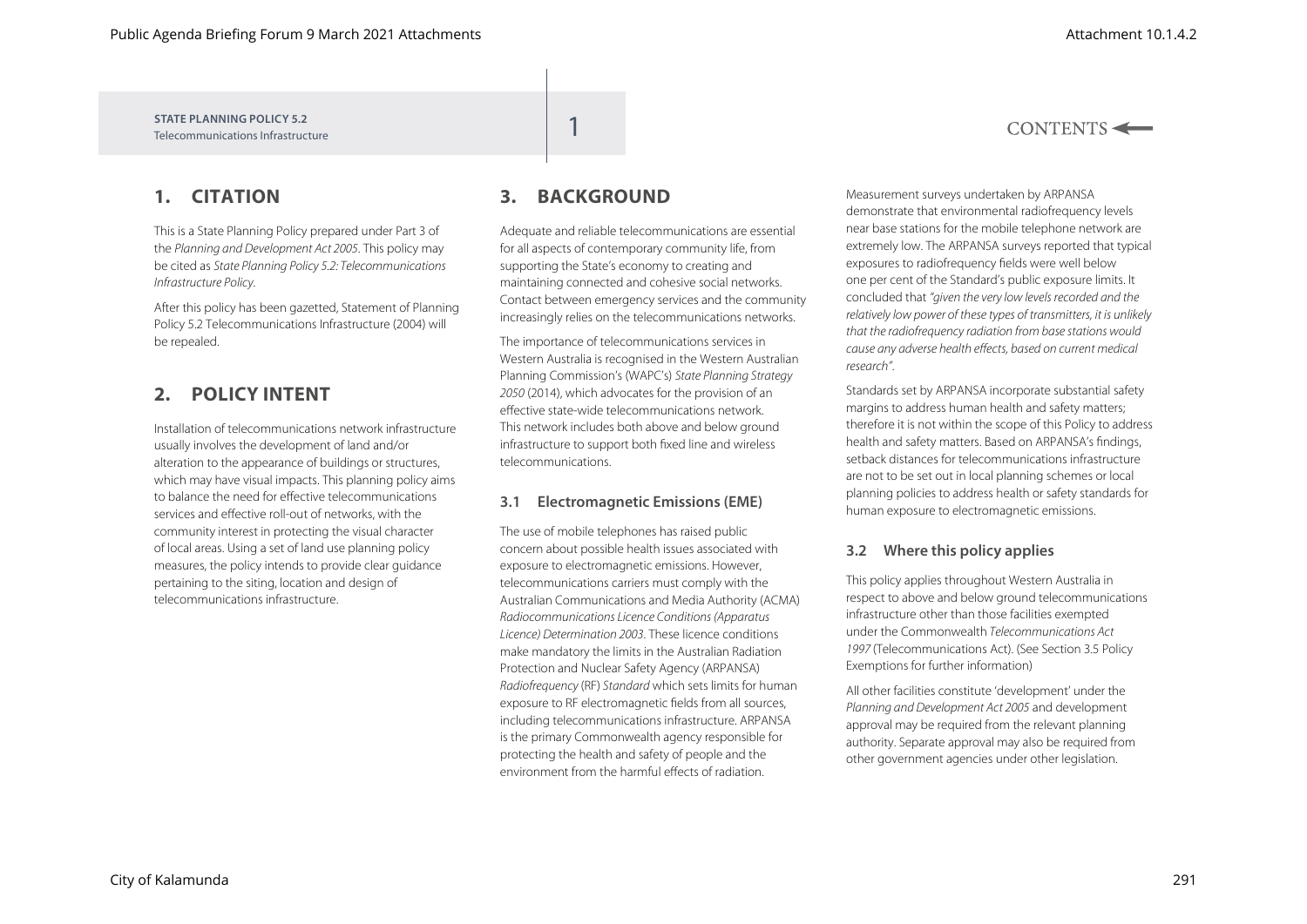$CONTENTS \leftarrow$ 

**STATE PLANNING POLICY 5.2** Telecommunications Infrastructure

## **1. CITATION**

This is a State Planning Policy prepared under Part 3 of the *Planning and Development Act 2005*. This policy may be cited as *State Planning Policy 5.2: Telecommunications Infrastructure Policy*.

After this policy has been gazetted, Statement of Planning Policy 5.2 Telecommunications Infrastructure (2004) will be repealed.

## **2. POLICY INTENT**

Installation of telecommunications network infrastructure usually involves the development of land and/or alteration to the appearance of buildings or structures, which may have visual impacts. This planning policy aims to balance the need for effective telecommunications services and effective roll-out of networks, with the community interest in protecting the visual character of local areas. Using a set of land use planning policy measures, the policy intends to provide clear guidance pertaining to the siting, location and design of telecommunications infrastructure.

## **3. BACKGROUND**

Adequate and reliable telecommunications are essential for all aspects of contemporary community life, from supporting the State's economy to creating and maintaining connected and cohesive social networks. Contact between emergency services and the community increasingly relies on the telecommunications networks.

The importance of telecommunications services in Western Australia is recognised in the Western Australian Planning Commission's (WAPC's) *State Planning Strategy 2050* (2014), which advocates for the provision of an effective state-wide telecommunications network. This network includes both above and below ground infrastructure to support both fixed line and wireless telecommunications.

#### **3.1 Electromagnetic Emissions (EME)**

The use of mobile telephones has raised public concern about possible health issues associated with exposure to electromagnetic emissions. However, telecommunications carriers must comply with the Australian Communications and Media Authority (ACMA) *Radiocommunications Licence Conditions (Apparatus Licence) Determination 2003*. These licence conditions make mandatory the limits in the Australian Radiation Protection and Nuclear Safety Agency (ARPANSA) *Radiofrequency* (RF) *Standard* which sets limits for human exposure to RF electromagnetic fields from all sources, including telecommunications infrastructure. ARPANSA is the primary Commonwealth agency responsible for protecting the health and safety of people and the environment from the harmful effects of radiation.

Measurement surveys undertaken by ARPANSA demonstrate that environmental radiofrequency levels near base stations for the mobile telephone network are extremely low. The ARPANSA surveys reported that typical exposures to radiofrequency fields were well below one per cent of the Standard's public exposure limits. It concluded that *"given the very low levels recorded and the relatively low power of these types of transmitters, it is unlikely that the radiofrequency radiation from base stations would cause any adverse health effects, based on current medical research"*.

Standards set by ARPANSA incorporate substantial safety margins to address human health and safety matters; therefore it is not within the scope of this Policy to address health and safety matters. Based on ARPANSA's findings, setback distances for telecommunications infrastructure are not to be set out in local planning schemes or local planning policies to address health or safety standards for human exposure to electromagnetic emissions.

#### **3.2 Where this policy applies**

This policy applies throughout Western Australia in respect to above and below ground telecommunications infrastructure other than those facilities exempted under the Commonwealth *Telecommunications Act 1997* (Telecommunications Act). (See Section 3.5 Policy Exemptions for further information)

All other facilities constitute 'development' under the *Planning and Development Act 2005* and development approval may be required from the relevant planning authority. Separate approval may also be required from other government agencies under other legislation.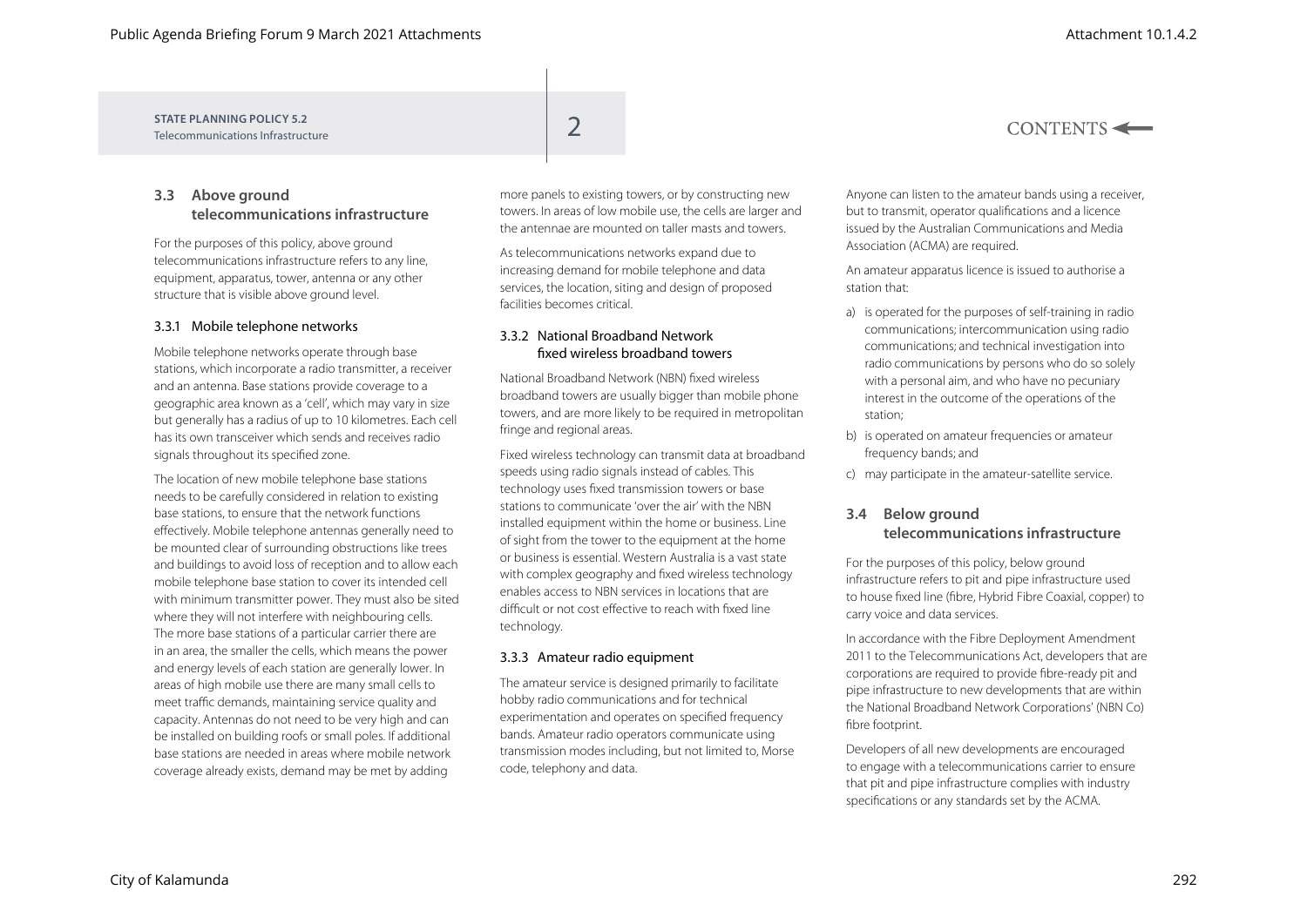$CONTENTS \leftarrow$ 

**STATE PLANNING POLICY 5.2** STATE PLANNING POLICY 5.2<br>Telecommunications Infrastructure

### **3.3 Above ground telecommunications infrastructure**

For the purposes of this policy, above ground telecommunications infrastructure refers to any line, equipment, apparatus, tower, antenna or any other structure that is visible above ground level.

#### 3.3.1 Mobile telephone networks

Mobile telephone networks operate through base stations, which incorporate a radio transmitter, a receiver and an antenna. Base stations provide coverage to a geographic area known as a 'cell', which may vary in size but generally has a radius of up to 10 kilometres. Each cell has its own transceiver which sends and receives radio signals throughout its specified zone.

The location of new mobile telephone base stations needs to be carefully considered in relation to existing base stations, to ensure that the network functions effectively. Mobile telephone antennas generally need to be mounted clear of surrounding obstructions like trees and buildings to avoid loss of reception and to allow each mobile telephone base station to cover its intended cell with minimum transmitter power. They must also be sited where they will not interfere with neighbouring cells. The more base stations of a particular carrier there are in an area, the smaller the cells, which means the power and energy levels of each station are generally lower. In areas of high mobile use there are many small cells to meet traffic demands, maintaining service quality and capacity. Antennas do not need to be very high and can be installed on building roofs or small poles. If additional base stations are needed in areas where mobile network coverage already exists, demand may be met by adding

more panels to existing towers, or by constructing new towers. In areas of low mobile use, the cells are larger and the antennae are mounted on taller masts and towers.

As telecommunications networks expand due to increasing demand for mobile telephone and data services, the location, siting and design of proposed facilities becomes critical.

#### 3.3.2 National Broadband Network fixed wireless broadband towers

National Broadband Network (NBN) fixed wireless broadband towers are usually bigger than mobile phone towers, and are more likely to be required in metropolitan fringe and regional areas.

Fixed wireless technology can transmit data at broadband speeds using radio signals instead of cables. This technology uses fixed transmission towers or base stations to communicate 'over the air' with the NBN installed equipment within the home or business. Line of sight from the tower to the equipment at the home or business is essential. Western Australia is a vast state with complex geography and fixed wireless technology enables access to NBN services in locations that are difficult or not cost effective to reach with fixed line technology.

#### 3.3.3 Amateur radio equipment

The amateur service is designed primarily to facilitate hobby radio communications and for technical experimentation and operates on specified frequency bands. Amateur radio operators communicate using transmission modes including, but not limited to, Morse code, telephony and data.

Anyone can listen to the amateur bands using a receiver, but to transmit, operator qualifications and a licence issued by the Australian Communications and Media Association (ACMA) are required.

An amateur apparatus licence is issued to authorise a station that:

- a) is operated for the purposes of self-training in radio communications; intercommunication using radio communications; and technical investigation into radio communications by persons who do so solely with a personal aim, and who have no pecuniary interest in the outcome of the operations of the station;
- b) is operated on amateur frequencies or amateur frequency bands; and
- c) may participate in the amateur-satellite service.

#### **3.4 Below ground telecommunications infrastructure**

For the purposes of this policy, below ground infrastructure refers to pit and pipe infrastructure used to house fixed line (fibre, Hybrid Fibre Coaxial, copper) to carry voice and data services.

In accordance with the Fibre Deployment Amendment 2011 to the Telecommunications Act, developers that are corporations are required to provide fibre-ready pit and pipe infrastructure to new developments that are within the National Broadband Network Corporations' (NBN Co) fibre footprint.

Developers of all new developments are encouraged to engage with a telecommunications carrier to ensure that pit and pipe infrastructure complies with industry specifications or any standards set by the ACMA.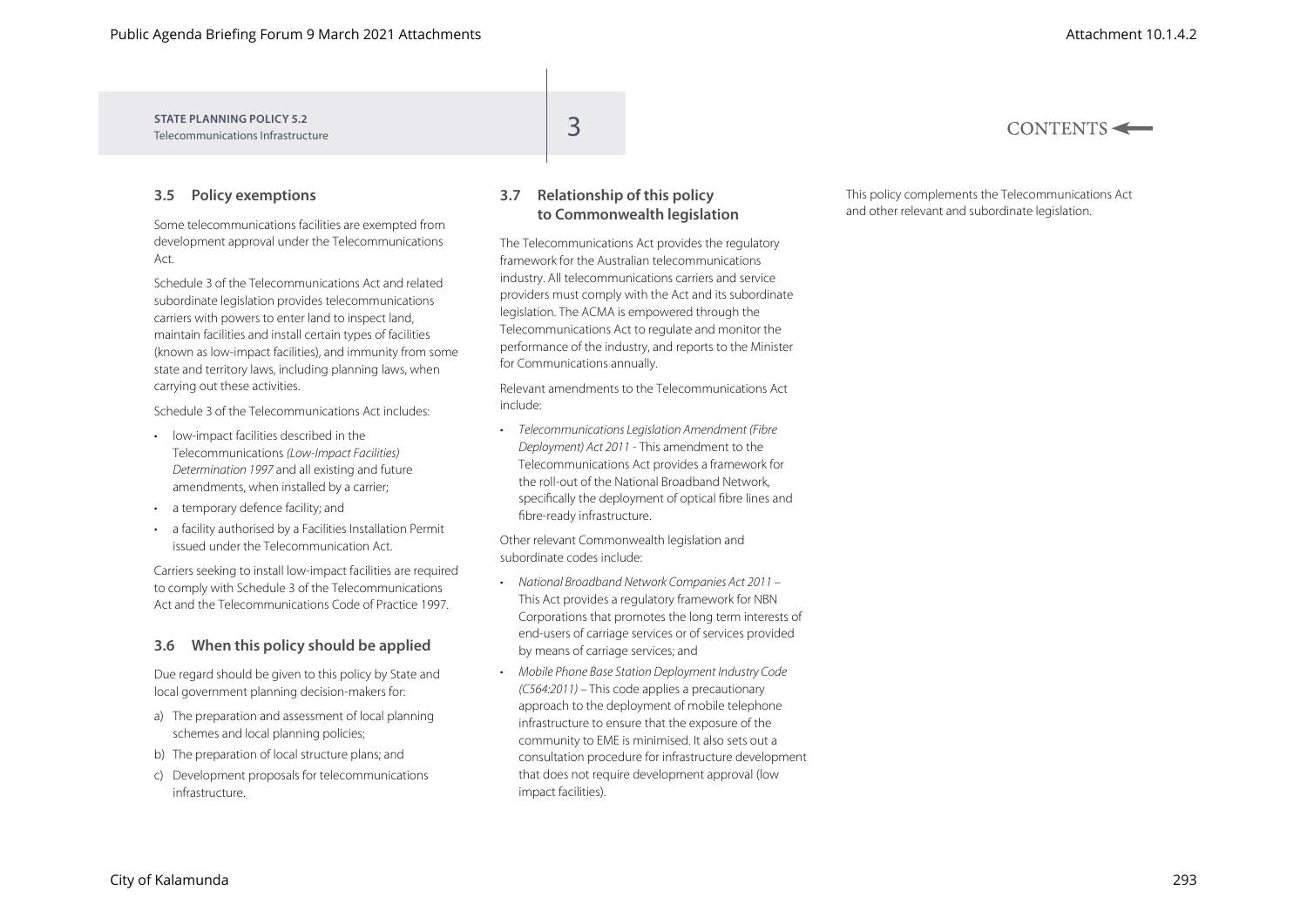| STATE PLANNING POLICY 5.2<br>Telecommunications Infrastructure | $CONTENTS \leftarrow$ |
|----------------------------------------------------------------|-----------------------|
|                                                                |                       |

#### **3.5 Policy exemptions**

Some telecommunications facilities are exempted from development approval under the Telecommunications Act.

Schedule 3 of the Telecommunications Act and related subordinate legislation provides telecommunications carriers with powers to enter land to inspect land, maintain facilities and install certain types of facilities (known as low-impact facilities), and immunity from some state and territory laws, including planning laws, when carrying out these activities.

Schedule 3 of the Telecommunications Act includes:

- low-impact facilities described in the Telecommunications *(Low-Impact Facilities) Determination 1997* and all existing and future amendments, when installed by a carrier;
- a temporary defence facility; and
- a facility authorised by a Facilities Installation Permit issued under the Telecommunication Act.

Carriers seeking to install low-impact facilities are required to comply with Schedule 3 of the Telecommunications Act and the Telecommunications Code of Practice 1997.

#### **3.6 When this policy should be applied**

Due regard should be given to this policy by State and local government planning decision-makers for:

- a) The preparation and assessment of local planning schemes and local planning policies;
- b) The preparation of local structure plans; and
- c) Development proposals for telecommunications infrastructure.

#### **3.7 Relationship of this policy to Commonwealth legislation**

The Telecommunications Act provides the regulatory framework for the Australian telecommunications industry. All telecommunications carriers and service providers must comply with the Act and its subordinate legislation. The ACMA is empowered through the Telecommunications Act to regulate and monitor the performance of the industry, and reports to the Minister for Communications annually.

Relevant amendments to the Telecommunications Act include:

• *Telecommunications Legislation Amendment (Fibre Deployment) Act 2011* - This amendment to the Telecommunications Act provides a framework for the roll-out of the National Broadband Network, specifically the deployment of optical fibre lines and fibre-ready infrastructure.

Other relevant Commonwealth legislation and subordinate codes include:

- *National Broadband Network Companies Act 2011*  This Act provides a regulatory framework for NBN Corporations that promotes the long term interests of end-users of carriage services or of services provided by means of carriage services; and
- *Mobile Phone Base Station Deployment Industry Code (C564:2011) –* This code applies a precautionary approach to the deployment of mobile telephone infrastructure to ensure that the exposure of the community to EME is minimised. It also sets out a consultation procedure for infrastructure development that does not require development approval (low impact facilities).

This policy complements the Telecommunications Act and other relevant and subordinate legislation.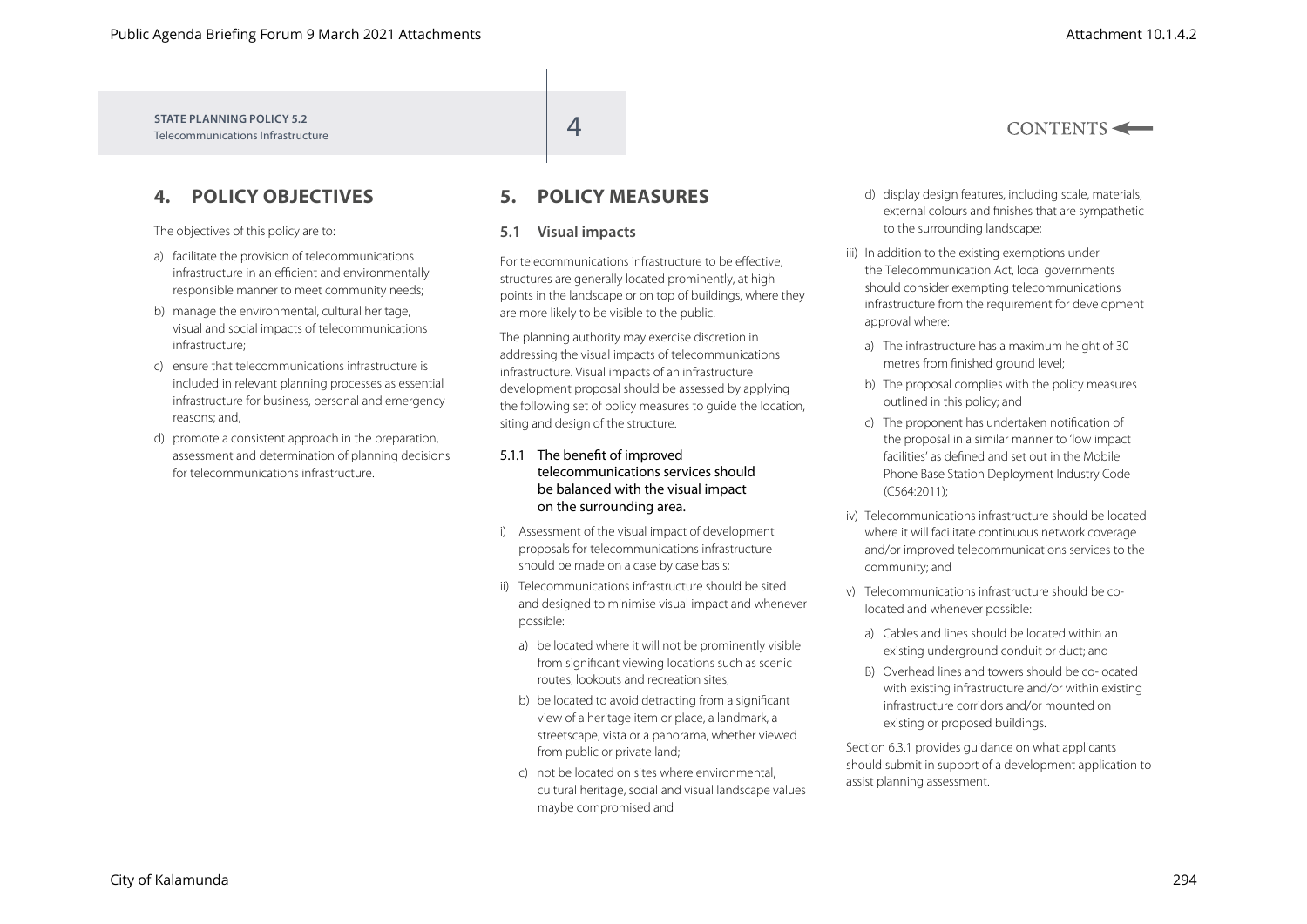$CONTENTS \leftarrow$ 

**STATE PLANNING POLICY 5.2** STATE PLANNING POLICY 5.2<br>Telecommunications Infrastructure

## **4. POLICY OBJECTIVES**

The objectives of this policy are to:

- a) facilitate the provision of telecommunications infrastructure in an efficient and environmentally responsible manner to meet community needs;
- b) manage the environmental, cultural heritage, visual and social impacts of telecommunications infrastructure;
- c) ensure that telecommunications infrastructure is included in relevant planning processes as essential infrastructure for business, personal and emergency reasons; and,
- d) promote a consistent approach in the preparation, assessment and determination of planning decisions for telecommunications infrastructure.

## **5. POLICY MEASURES**

#### **5.1 Visual impacts**

For telecommunications infrastructure to be effective, structures are generally located prominently, at high points in the landscape or on top of buildings, where they are more likely to be visible to the public.

The planning authority may exercise discretion in addressing the visual impacts of telecommunications infrastructure. Visual impacts of an infrastructure development proposal should be assessed by applying the following set of policy measures to guide the location, siting and design of the structure.

#### 5.1.1 The benefit of improved telecommunications services should be balanced with the visual impact on the surrounding area.

- i) Assessment of the visual impact of development proposals for telecommunications infrastructure should be made on a case by case basis;
- ii) Telecommunications infrastructure should be sited and designed to minimise visual impact and whenever possible:
	- a) be located where it will not be prominently visible from significant viewing locations such as scenic routes, lookouts and recreation sites;
	- b) be located to avoid detracting from a significant view of a heritage item or place, a landmark, a streetscape, vista or a panorama, whether viewed from public or private land:
	- c) not be located on sites where environmental, cultural heritage, social and visual landscape values maybe compromised and
- d) display design features, including scale, materials, external colours and finishes that are sympathetic to the surrounding landscape;
- iii) In addition to the existing exemptions under the Telecommunication Act, local governments should consider exempting telecommunications infrastructure from the requirement for development approval where:
	- a) The infrastructure has a maximum height of 30 metres from finished ground level;
	- b) The proposal complies with the policy measures outlined in this policy; and
	- c) The proponent has undertaken notification of the proposal in a similar manner to 'low impact facilities' as defined and set out in the Mobile Phone Base Station Deployment Industry Code (C564:2011);
- iv) Telecommunications infrastructure should be located where it will facilitate continuous network coverage and/or improved telecommunications services to the community; and
- v) Telecommunications infrastructure should be colocated and whenever possible:
	- a) Cables and lines should be located within an existing underground conduit or duct; and
	- B) Overhead lines and towers should be co-located with existing infrastructure and/or within existing infrastructure corridors and/or mounted on existing or proposed buildings.

Section 6.3.1 provides guidance on what applicants should submit in support of a development application to assist planning assessment.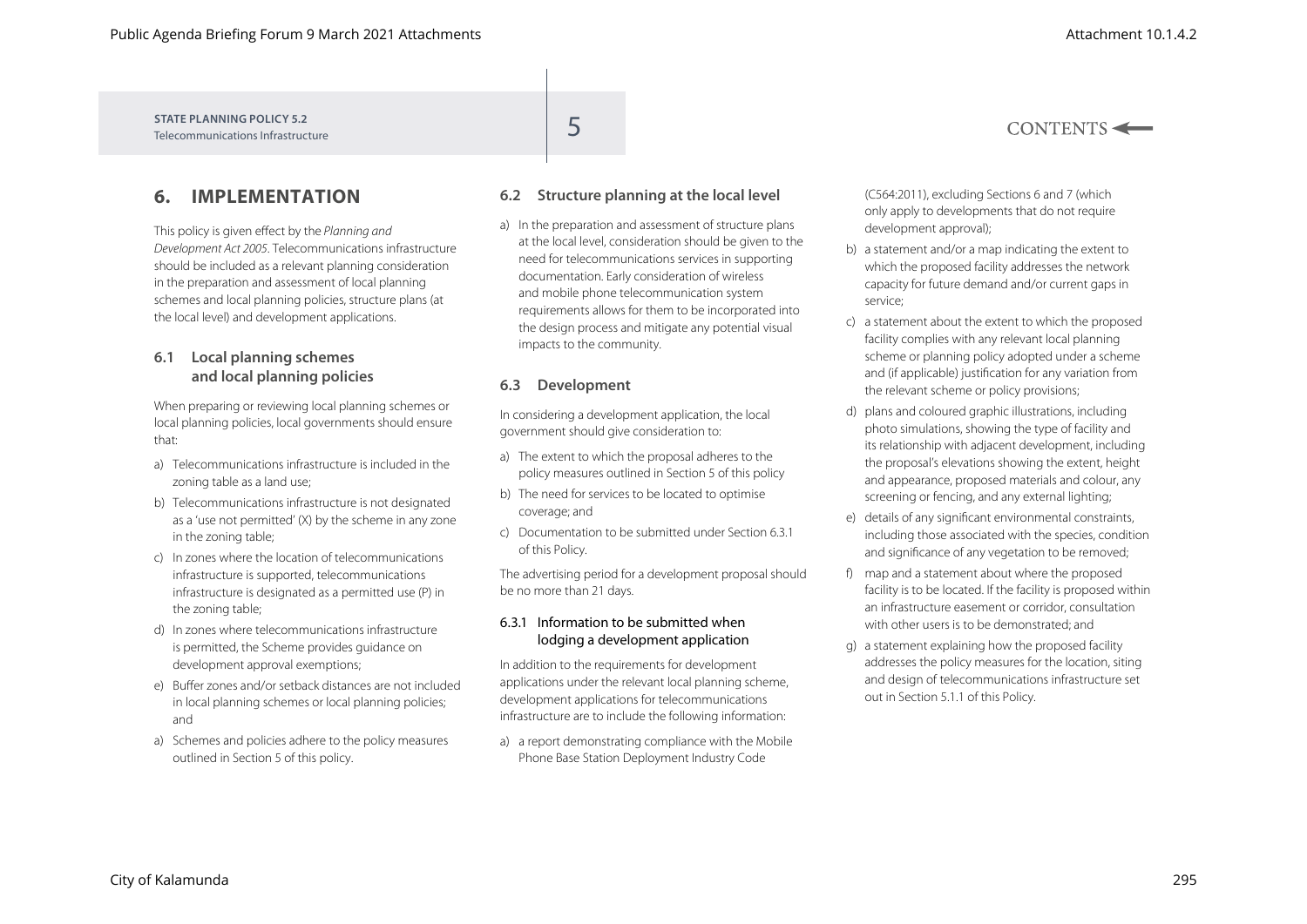**STATE PLANNING POLICY 5.2** STATE PLANNING POLICY 5.2<br>Telecommunications Infrastructure

## **6. IMPLEMENTATION**

This policy is given effect by the *Planning and Development Act 2005*. Telecommunications infrastructure should be included as a relevant planning consideration in the preparation and assessment of local planning schemes and local planning policies, structure plans (at the local level) and development applications.

#### **6.1 Local planning schemes and local planning policies**

When preparing or reviewing local planning schemes or local planning policies, local governments should ensure that:

- a) Telecommunications infrastructure is included in the zoning table as a land use;
- b) Telecommunications infrastructure is not designated as a 'use not permitted' (X) by the scheme in any zone in the zoning table;
- c) In zones where the location of telecommunications infrastructure is supported, telecommunications infrastructure is designated as a permitted use (P) in the zoning table;
- d) In zones where telecommunications infrastructure is permitted, the Scheme provides guidance on development approval exemptions;
- e) Buffer zones and/or setback distances are not included in local planning schemes or local planning policies; and
- a) Schemes and policies adhere to the policy measures outlined in Section 5 of this policy.

### **6.2 Structure planning at the local level**

a) In the preparation and assessment of structure plans at the local level, consideration should be given to the need for telecommunications services in supporting documentation. Early consideration of wireless and mobile phone telecommunication system requirements allows for them to be incorporated into the design process and mitigate any potential visual impacts to the community.

#### **6.3 Development**

In considering a development application, the local government should give consideration to:

- a) The extent to which the proposal adheres to the policy measures outlined in Section 5 of this policy
- b) The need for services to be located to optimise coverage; and
- c) Documentation to be submitted under Section 6.3.1 of this Policy.

The advertising period for a development proposal should be no more than 21 days.

#### 6.3.1 Information to be submitted when lodging a development application

In addition to the requirements for development applications under the relevant local planning scheme, development applications for telecommunications infrastructure are to include the following information:

a) a report demonstrating compliance with the Mobile Phone Base Station Deployment Industry Code

(C564:2011), excluding Sections 6 and 7 (which only apply to developments that do not require development approval);

- b) a statement and/or a map indicating the extent to which the proposed facility addresses the network capacity for future demand and/or current gaps in service;
- c) a statement about the extent to which the proposed facility complies with any relevant local planning scheme or planning policy adopted under a scheme and (if applicable) justification for any variation from the relevant scheme or policy provisions;
- d) plans and coloured graphic illustrations, including photo simulations, showing the type of facility and its relationship with adjacent development, including the proposal's elevations showing the extent, height and appearance, proposed materials and colour, any screening or fencing, and any external lighting;
- e) details of any significant environmental constraints, including those associated with the species, condition and significance of any vegetation to be removed;
- f) map and a statement about where the proposed facility is to be located. If the facility is proposed within an infrastructure easement or corridor, consultation with other users is to be demonstrated; and
- g) a statement explaining how the proposed facility addresses the policy measures for the location, siting and design of telecommunications infrastructure set out in Section 5.1.1 of this Policy.

 $CONTENTS \leftarrow$